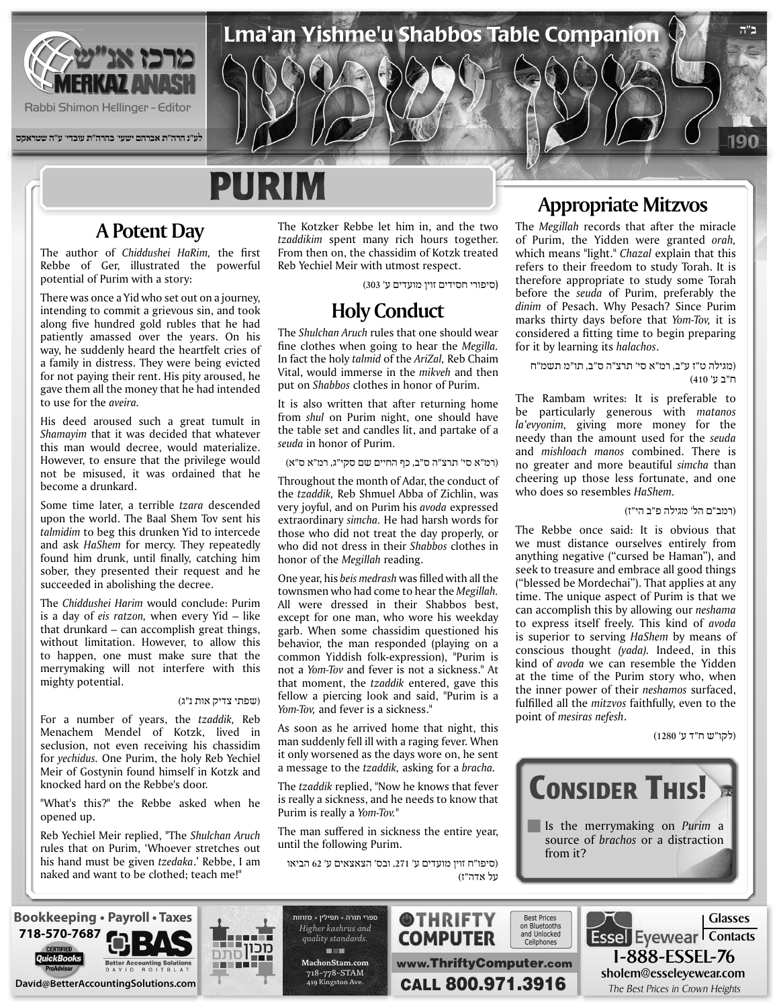

**לע"נ הרה"ת אברהם ישעי' בהרה"ת עובדי' ע"ה שטראקס**

# **PURIM**

### **A Potent Day**

The author of *Chiddushei HaRim*, the first Rebbe of Ger, illustrated the powerful potential of Purim with a story:

There was once a Yid who set out on a journey. intending to commit a grievous sin, and took along five hundred gold rubles that he had patiently amassed over the years. On his way, he suddenly heard the heartfelt cries of a family in distress. They were being evicted for not paying their rent. His pity aroused, he gave them all the money that he had intended to use for the *aveira*.

His deed aroused such a great tumult in Shamayim that it was decided that whatever this man would decree, would materialize. However, to ensure that the privilege would not be misused, it was ordained that he become a drunkard.

Some time later, a terrible *tzara* descended upon the world. The Baal Shem Tov sent his talmidim to beg this drunken Yid to intercede and ask HaShem for mercy. They repeatedly found him drunk, until finally, catching him sober, they presented their request and he succeeded in abolishing the decree.

The Chiddushei Harim would conclude: Purim is a day of eis ratzon, when every Yid - like that drunkard – can accomplish great things, without limitation. However, to allow this to happen, one must make sure that the merrymaking will not interfere with this mighty potential.

#### (שפתי צדיק אות נ"ג)

For a number of years, the tzaddik, Reb Menachem Mendel of Kotzk, lived in seclusion, not even receiving his chassidim for *yechidus*. One Purim, the holy Reb Yechiel Meir of Gostynin found himself in Kotzk and knocked hard on the Rebbe's door.

"What's this?" the Rebbe asked when he opened up.

**Reb Yechiel Meir replied, "The Shulchan Aruch** rules that on Purim, 'Whoever stretches out his hand must be given *tzedaka*.' Rebbe, I am naked and want to be clothed; teach me!"

The Kotzker Rebbe let him in, and the two tzaddikim spent many rich hours together. From then on, the chassidim of Kotzk treated Reb Yechiel Meir with utmost respect.

(סיפורי חסידים זוין מועדים ע' 303)

Lma'an Yishme'u Shabbos Table Companion

#### **Holy Conduct**

The *Shulchan Aruch* rules that one should wear fine clothes when going to hear the *Megilla*. In fact the holy *talmid* of the AriZal, Reb Chaim Vital, would immerse in the *mikveh* and then put on *Shabbos* clothes in honor of Purim.

It is also written that after returning home from shul on Purim night, one should have the table set and candles lit, and partake of a seuda in honor of Purim.

#### (רמ"א סי' תרצ"ה ס"ב, כף החיים שם סקי"ג, רמ"א ס"א)

Throughout the month of Adar, the conduct of the *tzaddik*, Reb Shmuel Abba of Zichlin, was very joyful, and on Purim his *avoda* expressed extraordinary simcha. He had harsh words for those who did not treat the day properly, or who did not dress in their *Shabbos* clothes in honor of the *Megillah* reading.

One year, his *beis medrash* was filled with all the townsmen who had come to hear the *Megillah*. All were dressed in their Shabbos best, except for one man, who wore his weekday garb. When some chassidim questioned his behavior, the man responded (playing on a common Yiddish folk-expression), "Purim is not a *Yom-Tov* and fever is not a sickness." At that moment, the *tzaddik* entered, gave this fellow a piercing look and said, "Purim is a Yom-Tov, and fever is a sickness."

As soon as he arrived home that night, this man suddenly fell ill with a raging fever. When it only worsened as the days wore on, he sent a message to the *tzaddik*, asking for a *bracha*.

The tzaddik replied, "Now he knows that fever is really a sickness, and he needs to know that Purim is really a Yom-Tov."

The man suffered in sickness the entire year, until the following Purim.

(סיפו"ח זוין מועדים ע' ,271 ובס' הצאצאים ע' 62 הביאו על אדה"ז)

#### **Appropriate Mitzvos**

190

**ב"ה**

The *Megillah* records that after the miracle of Purim, the Yidden were granted orah, which means "light." *Chazal* explain that this refers to their freedom to study Torah. It is therefore appropriate to study some Torah before the *seuda* of Purim, preferably the dinim of Pesach. Why Pesach? Since Purim marks thirty days before that Yom-Tov, it is considered a fitting time to begin preparing for it by learning its *halachos*.

(מגילה ט"ז ע"ב, רמ"א סי' תרצ"ה ס"ב, תו"מ תשמ"ח ח"ב ע' 410)

The Rambam writes: It is preferable to be particularly generous with matanos la'evyonim, giving more money for the needy than the amount used for the seuda and *mishloach manos* combined. There is no greater and more beautiful *simcha* than cheering up those less fortunate, and one who does so resembles HaShem.

#### (רמב"ם הל' מגילה פ"ב הי"ז)

The Rebbe once said: It is obvious that we must distance ourselves entirely from anything negative ("cursed be Haman"), and seek to treasure and embrace all good things ("blessed be Mordechai"). That applies at any time. The unique aspect of Purim is that we. can accomplish this by allowing our *neshama* to express itself freely. This kind of avoda is superior to serving HaShem by means of conscious thought (yada). Indeed, in this kind of *avoda* we can resemble the Yidden at the time of the Purim story who, when the inner power of their *neshamos* surfaced, fulfilled all the *mitzvos* faithfully, even to the point of *mesiras* nefesh.

(לקו"ש ח"ד ע' 1280)